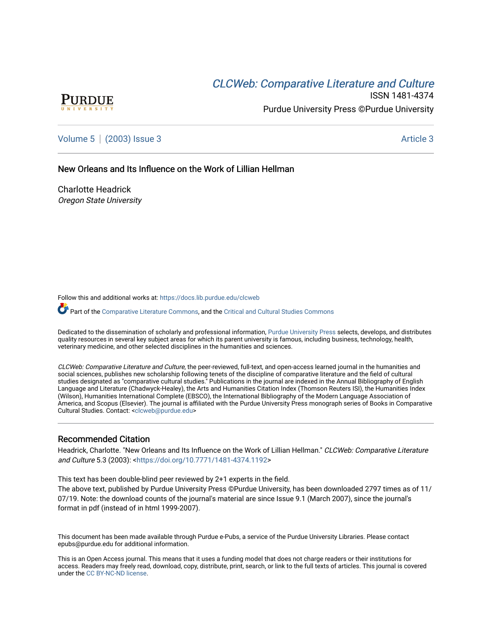# CLCW[eb: Comparative Liter](https://docs.lib.purdue.edu/clcweb)ature and Culture



ISSN 1481-4374 Purdue University Press ©Purdue University

[Volume 5](https://docs.lib.purdue.edu/clcweb/vol5) | [\(2003\) Issue 3](https://docs.lib.purdue.edu/clcweb/vol5/iss3) Article 3

New Orleans and Its Influence on the Work of Lillian Hellman

Charlotte Headrick Oregon State University

Follow this and additional works at: [https://docs.lib.purdue.edu/clcweb](https://docs.lib.purdue.edu/clcweb?utm_source=docs.lib.purdue.edu%2Fclcweb%2Fvol5%2Fiss3%2F3&utm_medium=PDF&utm_campaign=PDFCoverPages)

Part of the [Comparative Literature Commons,](http://network.bepress.com/hgg/discipline/454?utm_source=docs.lib.purdue.edu%2Fclcweb%2Fvol5%2Fiss3%2F3&utm_medium=PDF&utm_campaign=PDFCoverPages) and the [Critical and Cultural Studies Commons](http://network.bepress.com/hgg/discipline/328?utm_source=docs.lib.purdue.edu%2Fclcweb%2Fvol5%2Fiss3%2F3&utm_medium=PDF&utm_campaign=PDFCoverPages) 

Dedicated to the dissemination of scholarly and professional information, [Purdue University Press](http://www.thepress.purdue.edu/) selects, develops, and distributes quality resources in several key subject areas for which its parent university is famous, including business, technology, health, veterinary medicine, and other selected disciplines in the humanities and sciences.

CLCWeb: Comparative Literature and Culture, the peer-reviewed, full-text, and open-access learned journal in the humanities and social sciences, publishes new scholarship following tenets of the discipline of comparative literature and the field of cultural studies designated as "comparative cultural studies." Publications in the journal are indexed in the Annual Bibliography of English Language and Literature (Chadwyck-Healey), the Arts and Humanities Citation Index (Thomson Reuters ISI), the Humanities Index (Wilson), Humanities International Complete (EBSCO), the International Bibliography of the Modern Language Association of America, and Scopus (Elsevier). The journal is affiliated with the Purdue University Press monograph series of Books in Comparative Cultural Studies. Contact: [<clcweb@purdue.edu](mailto:clcweb@purdue.edu)>

### Recommended Citation

Headrick, Charlotte. "New Orleans and Its Influence on the Work of Lillian Hellman." CLCWeb: Comparative Literature and Culture 5.3 (2003): [<https://doi.org/10.7771/1481-4374.1192>](https://doi.org/10.7771/1481-4374.1192)

This text has been double-blind peer reviewed by 2+1 experts in the field.

The above text, published by Purdue University Press ©Purdue University, has been downloaded 2797 times as of 11/ 07/19. Note: the download counts of the journal's material are since Issue 9.1 (March 2007), since the journal's format in pdf (instead of in html 1999-2007).

This document has been made available through Purdue e-Pubs, a service of the Purdue University Libraries. Please contact epubs@purdue.edu for additional information.

This is an Open Access journal. This means that it uses a funding model that does not charge readers or their institutions for access. Readers may freely read, download, copy, distribute, print, search, or link to the full texts of articles. This journal is covered under the [CC BY-NC-ND license.](https://creativecommons.org/licenses/by-nc-nd/4.0/)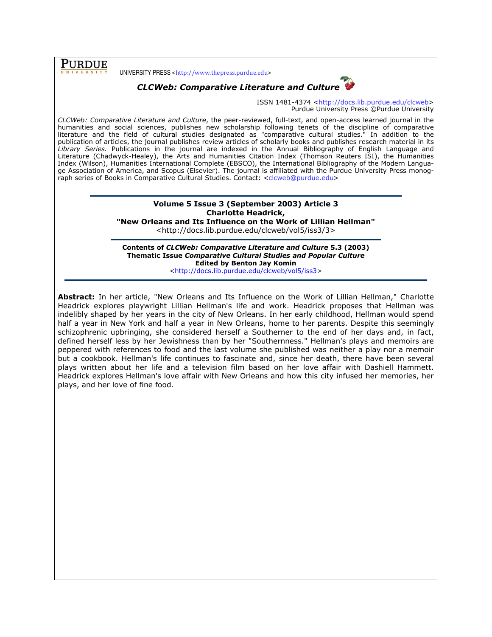**PURDUE** 

UNIVERSITY PRESS <http://www.thepress.purdue.edu>



## CLCWeb: Comparative Literature and Culture

ISSN 1481-4374 <http://docs.lib.purdue.edu/clcweb> Purdue University Press ©Purdue University

CLCWeb: Comparative Literature and Culture, the peer-reviewed, full-text, and open-access learned journal in the humanities and social sciences, publishes new scholarship following tenets of the discipline of comparative literature and the field of cultural studies designated as "comparative cultural studies." In addition to the publication of articles, the journal publishes review articles of scholarly books and publishes research material in its Library Series. Publications in the journal are indexed in the Annual Bibliography of English Language and Literature (Chadwyck-Healey), the Arts and Humanities Citation Index (Thomson Reuters ISI), the Humanities Index (Wilson), Humanities International Complete (EBSCO), the International Bibliography of the Modern Language Association of America, and Scopus (Elsevier). The journal is affiliated with the Purdue University Press monograph series of Books in Comparative Cultural Studies. Contact: <clcweb@purdue.edu>

## Volume 5 Issue 3 (September 2003) Article 3 Charlotte Headrick,

"New Orleans and Its Influence on the Work of Lillian Hellman"

<http://docs.lib.purdue.edu/clcweb/vol5/iss3/3>

Contents of CLCWeb: Comparative Literature and Culture 5.3 (2003) Thematic Issue Comparative Cultural Studies and Popular Culture Edited by Benton Jay Komin

<http://docs.lib.purdue.edu/clcweb/vol5/iss3>

Abstract: In her article, "New Orleans and Its Influence on the Work of Lillian Hellman," Charlotte Headrick explores playwright Lillian Hellman's life and work. Headrick proposes that Hellman was indelibly shaped by her years in the city of New Orleans. In her early childhood, Hellman would spend half a year in New York and half a year in New Orleans, home to her parents. Despite this seemingly schizophrenic upbringing, she considered herself a Southerner to the end of her days and, in fact, defined herself less by her Jewishness than by her "Southernness." Hellman's plays and memoirs are peppered with references to food and the last volume she published was neither a play nor a memoir but a cookbook. Hellman's life continues to fascinate and, since her death, there have been several plays written about her life and a television film based on her love affair with Dashiell Hammett. Headrick explores Hellman's love affair with New Orleans and how this city infused her memories, her plays, and her love of fine food.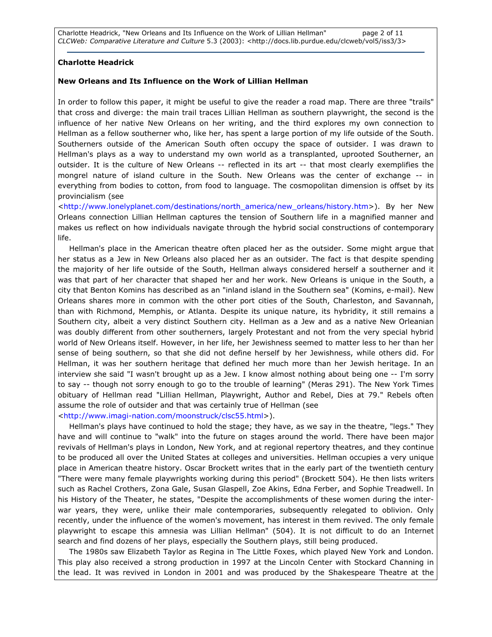Charlotte Headrick, "New Orleans and Its Influence on the Work of Lillian Hellman" page 2 of 11 CLCWeb: Comparative Literature and Culture 5.3 (2003): <http://docs.lib.purdue.edu/clcweb/vol5/iss3/3>

#### Charlotte Headrick

#### New Orleans and Its Influence on the Work of Lillian Hellman

In order to follow this paper, it might be useful to give the reader a road map. There are three "trails" that cross and diverge: the main trail traces Lillian Hellman as southern playwright, the second is the influence of her native New Orleans on her writing, and the third explores my own connection to Hellman as a fellow southerner who, like her, has spent a large portion of my life outside of the South. Southerners outside of the American South often occupy the space of outsider. I was drawn to Hellman's plays as a way to understand my own world as a transplanted, uprooted Southerner, an outsider. It is the culture of New Orleans -- reflected in its art -- that most clearly exemplifies the mongrel nature of island culture in the South. New Orleans was the center of exchange -- in everything from bodies to cotton, from food to language. The cosmopolitan dimension is offset by its provincialism (see

<http://www.lonelyplanet.com/destinations/north\_america/new\_orleans/history.htm>). By her New Orleans connection Lillian Hellman captures the tension of Southern life in a magnified manner and makes us reflect on how individuals navigate through the hybrid social constructions of contemporary life.

Hellman's place in the American theatre often placed her as the outsider. Some might argue that her status as a Jew in New Orleans also placed her as an outsider. The fact is that despite spending the majority of her life outside of the South, Hellman always considered herself a southerner and it was that part of her character that shaped her and her work. New Orleans is unique in the South, a city that Benton Komins has described as an "inland island in the Southern sea" (Komins, e-mail). New Orleans shares more in common with the other port cities of the South, Charleston, and Savannah, than with Richmond, Memphis, or Atlanta. Despite its unique nature, its hybridity, it still remains a Southern city, albeit a very distinct Southern city. Hellman as a Jew and as a native New Orleanian was doubly different from other southerners, largely Protestant and not from the very special hybrid world of New Orleans itself. However, in her life, her Jewishness seemed to matter less to her than her sense of being southern, so that she did not define herself by her Jewishness, while others did. For Hellman, it was her southern heritage that defined her much more than her Jewish heritage. In an interview she said "I wasn't brought up as a Jew. I know almost nothing about being one -- I'm sorry to say -- though not sorry enough to go to the trouble of learning" (Meras 291). The New York Times obituary of Hellman read "Lillian Hellman, Playwright, Author and Rebel, Dies at 79." Rebels often assume the role of outsider and that was certainly true of Hellman (see

<http://www.imagi-nation.com/moonstruck/clsc55.html>).

Hellman's plays have continued to hold the stage; they have, as we say in the theatre, "legs." They have and will continue to "walk" into the future on stages around the world. There have been major revivals of Hellman's plays in London, New York, and at regional repertory theatres, and they continue to be produced all over the United States at colleges and universities. Hellman occupies a very unique place in American theatre history. Oscar Brockett writes that in the early part of the twentieth century "There were many female playwrights working during this period" (Brockett 504). He then lists writers such as Rachel Crothers, Zona Gale, Susan Glaspell, Zoe Akins, Edna Ferber, and Sophie Treadwell. In his History of the Theater, he states, "Despite the accomplishments of these women during the interwar years, they were, unlike their male contemporaries, subsequently relegated to oblivion. Only recently, under the influence of the women's movement, has interest in them revived. The only female playwright to escape this amnesia was Lillian Hellman" (504). It is not difficult to do an Internet search and find dozens of her plays, especially the Southern plays, still being produced.

The 1980s saw Elizabeth Taylor as Regina in The Little Foxes, which played New York and London. This play also received a strong production in 1997 at the Lincoln Center with Stockard Channing in the lead. It was revived in London in 2001 and was produced by the Shakespeare Theatre at the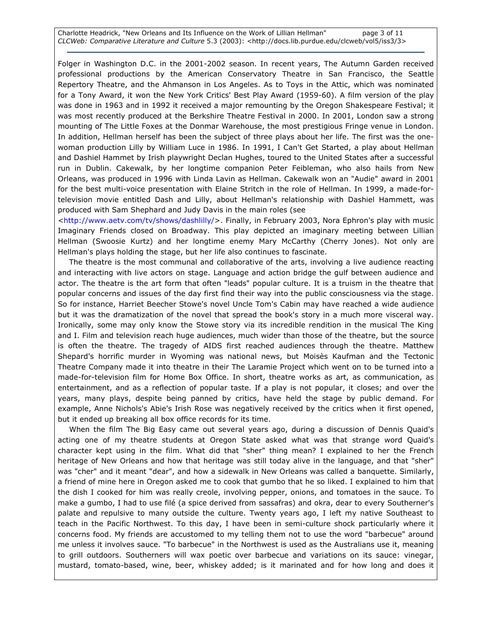Charlotte Headrick, "New Orleans and Its Influence on the Work of Lillian Hellman" page 3 of 11 CLCWeb: Comparative Literature and Culture 5.3 (2003): <http://docs.lib.purdue.edu/clcweb/vol5/iss3/3>

Folger in Washington D.C. in the 2001-2002 season. In recent years, The Autumn Garden received professional productions by the American Conservatory Theatre in San Francisco, the Seattle Repertory Theatre, and the Ahmanson in Los Angeles. As to Toys in the Attic, which was nominated for a Tony Award, it won the New York Critics' Best Play Award (1959-60). A film version of the play was done in 1963 and in 1992 it received a major remounting by the Oregon Shakespeare Festival; it was most recently produced at the Berkshire Theatre Festival in 2000. In 2001, London saw a strong mounting of The Little Foxes at the Donmar Warehouse, the most prestigious Fringe venue in London. In addition, Hellman herself has been the subject of three plays about her life. The first was the onewoman production Lilly by William Luce in 1986. In 1991, I Can't Get Started, a play about Hellman and Dashiel Hammet by Irish playwright Declan Hughes, toured to the United States after a successful run in Dublin. Cakewalk, by her longtime companion Peter Feibleman, who also hails from New Orleans, was produced in 1996 with Linda Lavin as Hellman. Cakewalk won an "Audie" award in 2001 for the best multi-voice presentation with Elaine Stritch in the role of Hellman. In 1999, a made-fortelevision movie entitled Dash and Lilly, about Hellman's relationship with Dashiel Hammett, was produced with Sam Shephard and Judy Davis in the main roles (see

<http://www.aetv.com/tv/shows/dashlilly/>. Finally, in February 2003, Nora Ephron's play with music Imaginary Friends closed on Broadway. This play depicted an imaginary meeting between Lillian Hellman (Swoosie Kurtz) and her longtime enemy Mary McCarthy (Cherry Jones). Not only are Hellman's plays holding the stage, but her life also continues to fascinate.

The theatre is the most communal and collaborative of the arts, involving a live audience reacting and interacting with live actors on stage. Language and action bridge the gulf between audience and actor. The theatre is the art form that often "leads" popular culture. It is a truism in the theatre that popular concerns and issues of the day first find their way into the public consciousness via the stage. So for instance, Harriet Beecher Stowe's novel Uncle Tom's Cabin may have reached a wide audience but it was the dramatization of the novel that spread the book's story in a much more visceral way. Ironically, some may only know the Stowe story via its incredible rendition in the musical The King and I. Film and television reach huge audiences, much wider than those of the theatre, but the source is often the theatre. The tragedy of AIDS first reached audiences through the theatre. Matthew Shepard's horrific murder in Wyoming was national news, but Moisès Kaufman and the Tectonic Theatre Company made it into theatre in their The Laramie Project which went on to be turned into a made-for-television film for Home Box Office. In short, theatre works as art, as communication, as entertainment, and as a reflection of popular taste. If a play is not popular, it closes; and over the years, many plays, despite being panned by critics, have held the stage by public demand. For example, Anne Nichols's Abie's Irish Rose was negatively received by the critics when it first opened, but it ended up breaking all box office records for its time.

When the film The Big Easy came out several years ago, during a discussion of Dennis Quaid's acting one of my theatre students at Oregon State asked what was that strange word Quaid's character kept using in the film. What did that "sher" thing mean? I explained to her the French heritage of New Orleans and how that heritage was still today alive in the language, and that "sher" was "cher" and it meant "dear", and how a sidewalk in New Orleans was called a banquette. Similarly, a friend of mine here in Oregon asked me to cook that gumbo that he so liked. I explained to him that the dish I cooked for him was really creole, involving pepper, onions, and tomatoes in the sauce. To make a gumbo, I had to use filé (a spice derived from sassafras) and okra, dear to every Southerner's palate and repulsive to many outside the culture. Twenty years ago, I left my native Southeast to teach in the Pacific Northwest. To this day, I have been in semi-culture shock particularly where it concerns food. My friends are accustomed to my telling them not to use the word "barbecue" around me unless it involves sauce. "To barbecue" in the Northwest is used as the Australians use it, meaning to grill outdoors. Southerners will wax poetic over barbecue and variations on its sauce: vinegar, mustard, tomato-based, wine, beer, whiskey added; is it marinated and for how long and does it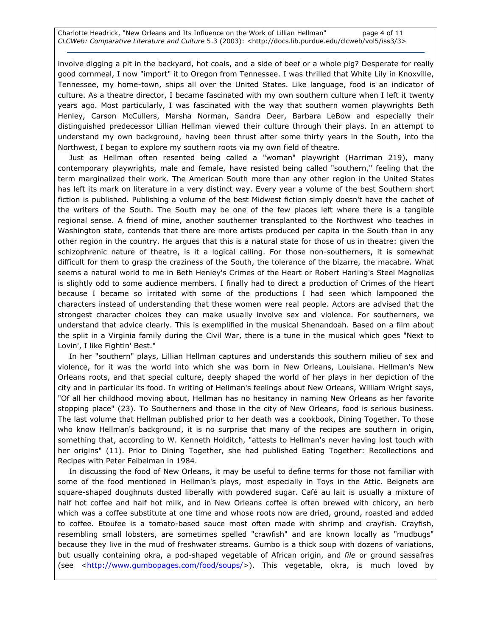involve digging a pit in the backyard, hot coals, and a side of beef or a whole pig? Desperate for really good cornmeal, I now "import" it to Oregon from Tennessee. I was thrilled that White Lily in Knoxville, Tennessee, my home-town, ships all over the United States. Like language, food is an indicator of culture. As a theatre director, I became fascinated with my own southern culture when I left it twenty years ago. Most particularly, I was fascinated with the way that southern women playwrights Beth Henley, Carson McCullers, Marsha Norman, Sandra Deer, Barbara LeBow and especially their distinguished predecessor Lillian Hellman viewed their culture through their plays. In an attempt to understand my own background, having been thrust after some thirty years in the South, into the Northwest, I began to explore my southern roots via my own field of theatre.

Just as Hellman often resented being called a "woman" playwright (Harriman 219), many contemporary playwrights, male and female, have resisted being called "southern," feeling that the term marginalized their work. The American South more than any other region in the United States has left its mark on literature in a very distinct way. Every year a volume of the best Southern short fiction is published. Publishing a volume of the best Midwest fiction simply doesn't have the cachet of the writers of the South. The South may be one of the few places left where there is a tangible regional sense. A friend of mine, another southerner transplanted to the Northwest who teaches in Washington state, contends that there are more artists produced per capita in the South than in any other region in the country. He argues that this is a natural state for those of us in theatre: given the schizophrenic nature of theatre, is it a logical calling. For those non-southerners, it is somewhat difficult for them to grasp the craziness of the South, the tolerance of the bizarre, the macabre. What seems a natural world to me in Beth Henley's Crimes of the Heart or Robert Harling's Steel Magnolias is slightly odd to some audience members. I finally had to direct a production of Crimes of the Heart because I became so irritated with some of the productions I had seen which lampooned the characters instead of understanding that these women were real people. Actors are advised that the strongest character choices they can make usually involve sex and violence. For southerners, we understand that advice clearly. This is exemplified in the musical Shenandoah. Based on a film about the split in a Virginia family during the Civil War, there is a tune in the musical which goes "Next to Lovin', I like Fightin' Best."

In her "southern" plays, Lillian Hellman captures and understands this southern milieu of sex and violence, for it was the world into which she was born in New Orleans, Louisiana. Hellman's New Orleans roots, and that special culture, deeply shaped the world of her plays in her depiction of the city and in particular its food. In writing of Hellman's feelings about New Orleans, William Wright says, "Of all her childhood moving about, Hellman has no hesitancy in naming New Orleans as her favorite stopping place" (23). To Southerners and those in the city of New Orleans, food is serious business. The last volume that Hellman published prior to her death was a cookbook, Dining Together. To those who know Hellman's background, it is no surprise that many of the recipes are southern in origin, something that, according to W. Kenneth Holditch, "attests to Hellman's never having lost touch with her origins" (11). Prior to Dining Together, she had published Eating Together: Recollections and Recipes with Peter Feibelman in 1984.

In discussing the food of New Orleans, it may be useful to define terms for those not familiar with some of the food mentioned in Hellman's plays, most especially in Toys in the Attic. Beignets are square-shaped doughnuts dusted liberally with powdered sugar. Café au lait is usually a mixture of half hot coffee and half hot milk, and in New Orleans coffee is often brewed with chicory, an herb which was a coffee substitute at one time and whose roots now are dried, ground, roasted and added to coffee. Etoufee is a tomato-based sauce most often made with shrimp and crayfish. Crayfish, resembling small lobsters, are sometimes spelled "crawfish" and are known locally as "mudbugs" because they live in the mud of freshwater streams. Gumbo is a thick soup with dozens of variations, but usually containing okra, a pod-shaped vegetable of African origin, and file or ground sassafras (see <http://www.gumbopages.com/food/soups/>). This vegetable, okra, is much loved by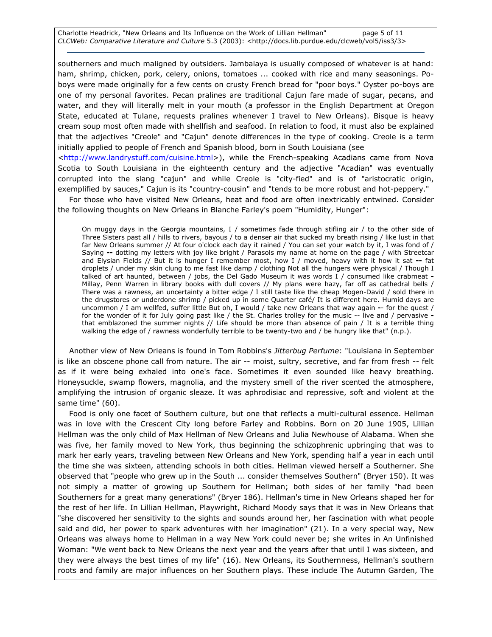Charlotte Headrick, "New Orleans and Its Influence on the Work of Lillian Hellman" page 5 of 11 CLCWeb: Comparative Literature and Culture 5.3 (2003): <http://docs.lib.purdue.edu/clcweb/vol5/iss3/3>

southerners and much maligned by outsiders. Jambalaya is usually composed of whatever is at hand: ham, shrimp, chicken, pork, celery, onions, tomatoes ... cooked with rice and many seasonings. Poboys were made originally for a few cents on crusty French bread for "poor boys." Oyster po-boys are one of my personal favorites. Pecan pralines are traditional Cajun fare made of sugar, pecans, and water, and they will literally melt in your mouth (a professor in the English Department at Oregon State, educated at Tulane, requests pralines whenever I travel to New Orleans). Bisque is heavy cream soup most often made with shellfish and seafood. In relation to food, it must also be explained that the adjectives "Creole" and "Cajun" denote differences in the type of cooking. Creole is a term initially applied to people of French and Spanish blood, born in South Louisiana (see

<http://www.landrystuff.com/cuisine.html>), while the French-speaking Acadians came from Nova Scotia to South Louisiana in the eighteenth century and the adjective "Acadian" was eventually corrupted into the slang "cajun" and while Creole is "city-fied" and is of "aristocratic origin, exemplified by sauces," Cajun is its "country-cousin" and "tends to be more robust and hot-peppery."

For those who have visited New Orleans, heat and food are often inextricably entwined. Consider the following thoughts on New Orleans in Blanche Farley's poem "Humidity, Hunger":

 On muggy days in the Georgia mountains, I / sometimes fade through stifling air / to the other side of Three Sisters past all / hills to rivers, bayous / to a denser air that sucked my breath rising / like lust in that far New Orleans summer // At four o'clock each day it rained / You can set your watch by it, I was fond of / Saying -- dotting my letters with joy like bright / Parasols my name at home on the page / with Streetcar and Elysian Fields // But it is hunger I remember most, how I / moved, heavy with it how it sat -- fat droplets / under my skin clung to me fast like damp / clothing Not all the hungers were physical / Though I talked of art haunted, between / jobs, the Del Gado Museum it was words I / consumed like crabmeat -Millay, Penn Warren in library books with dull covers // My plans were hazy, far off as cathedral bells / There was a rawness, an uncertainty a bitter edge / I still taste like the cheap Mogen-David / sold there in the drugstores or underdone shrimp / picked up in some Quarter café/ It is different here. Humid days are uncommon / I am wellfed, suffer little But oh, I would / take new Orleans that way again -- for the quest / for the wonder of it for July going past like / the St. Charles trolley for the music -- live and / pervasive that emblazoned the summer nights // Life should be more than absence of pain / It is a terrible thing walking the edge of / rawness wonderfully terrible to be twenty-two and / be hungry like that" (n.p.).

Another view of New Orleans is found in Tom Robbins's Jitterbug Perfume: "Louisiana in September is like an obscene phone call from nature. The air -- moist, sultry, secretive, and far from fresh -- felt as if it were being exhaled into one's face. Sometimes it even sounded like heavy breathing. Honeysuckle, swamp flowers, magnolia, and the mystery smell of the river scented the atmosphere, amplifying the intrusion of organic sleaze. It was aphrodisiac and repressive, soft and violent at the same time" (60).

Food is only one facet of Southern culture, but one that reflects a multi-cultural essence. Hellman was in love with the Crescent City long before Farley and Robbins. Born on 20 June 1905, Lillian Hellman was the only child of Max Hellman of New Orleans and Julia Newhouse of Alabama. When she was five, her family moved to New York, thus beginning the schizophrenic upbringing that was to mark her early years, traveling between New Orleans and New York, spending half a year in each until the time she was sixteen, attending schools in both cities. Hellman viewed herself a Southerner. She observed that "people who grew up in the South ... consider themselves Southern" (Bryer 150). It was not simply a matter of growing up Southern for Hellman; both sides of her family "had been Southerners for a great many generations" (Bryer 186). Hellman's time in New Orleans shaped her for the rest of her life. In Lillian Hellman, Playwright, Richard Moody says that it was in New Orleans that "she discovered her sensitivity to the sights and sounds around her, her fascination with what people said and did, her power to spark adventures with her imagination" (21). In a very special way, New Orleans was always home to Hellman in a way New York could never be; she writes in An Unfinished Woman: "We went back to New Orleans the next year and the years after that until I was sixteen, and they were always the best times of my life" (16). New Orleans, its Southernness, Hellman's southern roots and family are major influences on her Southern plays. These include The Autumn Garden, The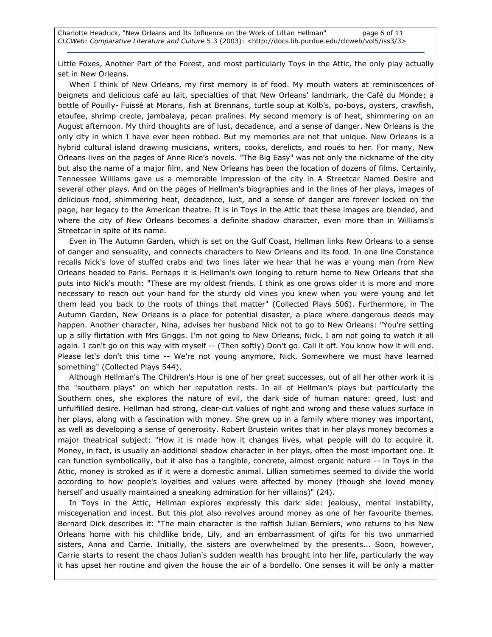Little Foxes, Another Part of the Forest, and most particularly Toys in the Attic, the only play actually set in New Orleans.

When I think of New Orleans, my first memory is of food. My mouth waters at reminiscences of beignets and delicious café au lait, specialties of that New Orleans' landmark, the Café du Monde; a bottle of Pouilly- Fuissé at Morans, fish at Brennans, turtle soup at Kolb's, po-boys, oysters, crawfish, etoufee, shrimp creole, jambalaya, pecan pralines. My second memory is of heat, shimmering on an August afternoon. My third thoughts are of lust, decadence, and a sense of danger. New Orleans is the only city in which I have ever been robbed. But my memories are not that unique. New Orleans is a hybrid cultural island drawing musicians, writers, cooks, derelicts, and roués to her. For many, New Orleans lives on the pages of Anne Rice's novels. "The Big Easy" was not only the nickname of the city but also the name of a major film, and New Orleans has been the location of dozens of films. Certainly, Tennessee Williams gave us a memorable impression of the city in A Streetcar Named Desire and several other plays. And on the pages of Hellman's biographies and in the lines of her plays, images of delicious food, shimmering heat, decadence, lust, and a sense of danger are forever locked on the page, her legacy to the American theatre. It is in Toys in the Attic that these images are blended, and where the city of New Orleans becomes a definite shadow character, even more than in Williams's Streetcar in spite of its name.

Even in The Autumn Garden, which is set on the Gulf Coast, Hellman links New Orleans to a sense of danger and sensuality, and connects characters to New Orleans and its food. In one line Constance recalls Nick's love of stuffed crabs and two lines later we hear that he was a young man from New Orleans headed to Paris. Perhaps it is Hellman's own longing to return home to New Orleans that she puts into Nick's mouth: "These are my oldest friends. I think as one grows older it is more and more necessary to reach out your hand for the sturdy old vines you knew when you were young and let them lead you back to the roots of things that matter" (Collected Plays 506). Furthermore, in The Autumn Garden, New Orleans is a place for potential disaster, a place where dangerous deeds may happen. Another character, Nina, advises her husband Nick not to go to New Orleans: "You're setting up a silly flirtation with Mrs Griggs. I'm not going to New Orleans, Nick. I am not going to watch it all again. I can't go on this way with myself -- (Then softly) Don't go. Call it off. You know how it will end. Please let's don't this time -- We're not young anymore, Nick. Somewhere we must have learned something" (Collected Plays 544).

Although Hellman's The Children's Hour is one of her great successes, out of all her other work it is the "southern plays" on which her reputation rests. In all of Hellman's plays but particularly the Southern ones, she explores the nature of evil, the dark side of human nature: greed, lust and unfulfilled desire. Hellman had strong, clear-cut values of right and wrong and these values surface in her plays, along with a fascination with money. She grew up in a family where money was important, as well as developing a sense of generosity. Robert Brustein writes that in her plays money becomes a major theatrical subject: "How it is made how it changes lives, what people will do to acquire it. Money, in fact, is usually an additional shadow character in her plays, often the most important one. It can function symbolically, but it also has a tangible, concrete, almost organic nature -- in Toys in the Attic, money is stroked as if it were a domestic animal. Lillian sometimes seemed to divide the world according to how people's loyalties and values were affected by money (though she loved money herself and usually maintained a sneaking admiration for her villains)" (24).

In Toys in the Attic, Hellman explores expressly this dark side: jealousy, mental instability, miscegenation and incest. But this plot also revolves around money as one of her favourite themes. Bernard Dick describes it: "The main character is the raffish Julian Berniers, who returns to his New Orleans home with his childlike bride, Lily, and an embarrassment of gifts for his two unmarried sisters, Anna and Carrie. Initially, the sisters are overwhelmed by the presents... Soon, however, Carrie starts to resent the chaos Julian's sudden wealth has brought into her life, particularly the way it has upset her routine and given the house the air of a bordello. One senses it will be only a matter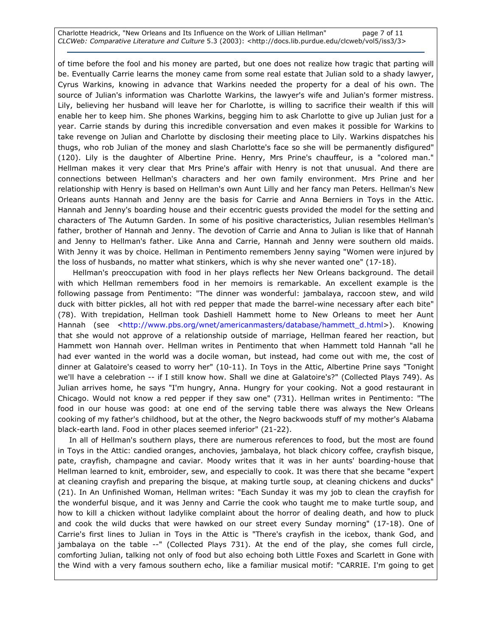Charlotte Headrick, "New Orleans and Its Influence on the Work of Lillian Hellman" page 7 of 11 CLCWeb: Comparative Literature and Culture 5.3 (2003): <http://docs.lib.purdue.edu/clcweb/vol5/iss3/3>

of time before the fool and his money are parted, but one does not realize how tragic that parting will be. Eventually Carrie learns the money came from some real estate that Julian sold to a shady lawyer, Cyrus Warkins, knowing in advance that Warkins needed the property for a deal of his own. The source of Julian's information was Charlotte Warkins, the lawyer's wife and Julian's former mistress. Lily, believing her husband will leave her for Charlotte, is willing to sacrifice their wealth if this will enable her to keep him. She phones Warkins, begging him to ask Charlotte to give up Julian just for a year. Carrie stands by during this incredible conversation and even makes it possible for Warkins to take revenge on Julian and Charlotte by disclosing their meeting place to Lily. Warkins dispatches his thugs, who rob Julian of the money and slash Charlotte's face so she will be permanently disfigured" (120). Lily is the daughter of Albertine Prine. Henry, Mrs Prine's chauffeur, is a "colored man." Hellman makes it very clear that Mrs Prine's affair with Henry is not that unusual. And there are connections between Hellman's characters and her own family environment. Mrs Prine and her relationship with Henry is based on Hellman's own Aunt Lilly and her fancy man Peters. Hellman's New Orleans aunts Hannah and Jenny are the basis for Carrie and Anna Berniers in Toys in the Attic. Hannah and Jenny's boarding house and their eccentric guests provided the model for the setting and characters of The Autumn Garden. In some of his positive characteristics, Julian resembles Hellman's father, brother of Hannah and Jenny. The devotion of Carrie and Anna to Julian is like that of Hannah and Jenny to Hellman's father. Like Anna and Carrie, Hannah and Jenny were southern old maids. With Jenny it was by choice. Hellman in Pentimento remembers Jenny saying "Women were injured by the loss of husbands, no matter what stinkers, which is why she never wanted one" (17-18).

 Hellman's preoccupation with food in her plays reflects her New Orleans background. The detail with which Hellman remembers food in her memoirs is remarkable. An excellent example is the following passage from Pentimento: "The dinner was wonderful: jambalaya, raccoon stew, and wild duck with bitter pickles, all hot with red pepper that made the barrel-wine necessary after each bite" (78). With trepidation, Hellman took Dashiell Hammett home to New Orleans to meet her Aunt Hannah (see <http://www.pbs.org/wnet/americanmasters/database/hammett\_d.html>). Knowing that she would not approve of a relationship outside of marriage, Hellman feared her reaction, but Hammett won Hannah over. Hellman writes in Pentimento that when Hammett told Hannah "all he had ever wanted in the world was a docile woman, but instead, had come out with me, the cost of dinner at Galatoire's ceased to worry her" (10-11). In Toys in the Attic, Albertine Prine says "Tonight we'll have a celebration -- if I still know how. Shall we dine at Galatoire's?" (Collected Plays 749). As Julian arrives home, he says "I'm hungry, Anna. Hungry for your cooking. Not a good restaurant in Chicago. Would not know a red pepper if they saw one" (731). Hellman writes in Pentimento: "The food in our house was good: at one end of the serving table there was always the New Orleans cooking of my father's childhood, but at the other, the Negro backwoods stuff of my mother's Alabama black-earth land. Food in other places seemed inferior" (21-22).

In all of Hellman's southern plays, there are numerous references to food, but the most are found in Toys in the Attic: candied oranges, anchovies, jambalaya, hot black chicory coffee, crayfish bisque, pate, crayfish, champagne and caviar. Moody writes that it was in her aunts' boarding-house that Hellman learned to knit, embroider, sew, and especially to cook. It was there that she became "expert at cleaning crayfish and preparing the bisque, at making turtle soup, at cleaning chickens and ducks" (21). In An Unfinished Woman, Hellman writes: "Each Sunday it was my job to clean the crayfish for the wonderful bisque, and it was Jenny and Carrie the cook who taught me to make turtle soup, and how to kill a chicken without ladylike complaint about the horror of dealing death, and how to pluck and cook the wild ducks that were hawked on our street every Sunday morning" (17-18). One of Carrie's first lines to Julian in Toys in the Attic is "There's crayfish in the icebox, thank God, and jambalaya on the table --" (Collected Plays 731). At the end of the play, she comes full circle, comforting Julian, talking not only of food but also echoing both Little Foxes and Scarlett in Gone with the Wind with a very famous southern echo, like a familiar musical motif: "CARRIE. I'm going to get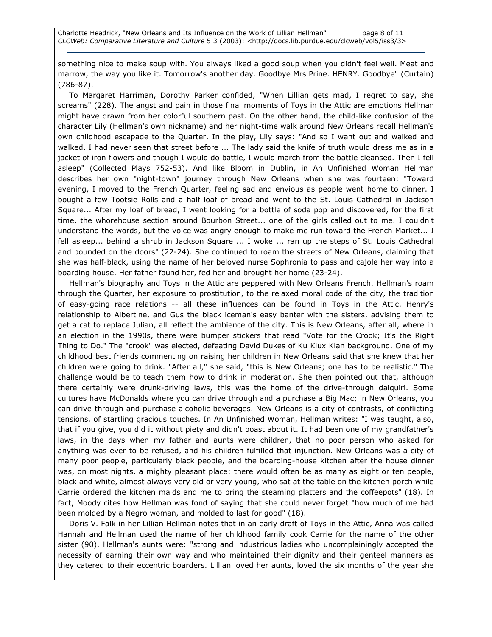something nice to make soup with. You always liked a good soup when you didn't feel well. Meat and marrow, the way you like it. Tomorrow's another day. Goodbye Mrs Prine. HENRY. Goodbye" (Curtain) (786-87).

To Margaret Harriman, Dorothy Parker confided, "When Lillian gets mad, I regret to say, she screams" (228). The angst and pain in those final moments of Toys in the Attic are emotions Hellman might have drawn from her colorful southern past. On the other hand, the child-like confusion of the character Lily (Hellman's own nickname) and her night-time walk around New Orleans recall Hellman's own childhood escapade to the Quarter. In the play, Lily says: "And so I want out and walked and walked. I had never seen that street before ... The lady said the knife of truth would dress me as in a jacket of iron flowers and though I would do battle, I would march from the battle cleansed. Then I fell asleep" (Collected Plays 752-53). And like Bloom in Dublin, in An Unfinished Woman Hellman describes her own "night-town" journey through New Orleans when she was fourteen: "Toward evening, I moved to the French Quarter, feeling sad and envious as people went home to dinner. I bought a few Tootsie Rolls and a half loaf of bread and went to the St. Louis Cathedral in Jackson Square... After my loaf of bread, I went looking for a bottle of soda pop and discovered, for the first time, the whorehouse section around Bourbon Street... one of the girls called out to me. I couldn't understand the words, but the voice was angry enough to make me run toward the French Market... I fell asleep... behind a shrub in Jackson Square ... I woke ... ran up the steps of St. Louis Cathedral and pounded on the doors" (22-24). She continued to roam the streets of New Orleans, claiming that she was half-black, using the name of her beloved nurse Sophronia to pass and cajole her way into a boarding house. Her father found her, fed her and brought her home (23-24).

Hellman's biography and Toys in the Attic are peppered with New Orleans French. Hellman's roam through the Quarter, her exposure to prostitution, to the relaxed moral code of the city, the tradition of easy-going race relations -- all these influences can be found in Toys in the Attic. Henry's relationship to Albertine, and Gus the black iceman's easy banter with the sisters, advising them to get a cat to replace Julian, all reflect the ambience of the city. This is New Orleans, after all, where in an election in the 1990s, there were bumper stickers that read "Vote for the Crook; It's the Right Thing to Do." The "crook" was elected, defeating David Dukes of Ku Klux Klan background. One of my childhood best friends commenting on raising her children in New Orleans said that she knew that her children were going to drink. "After all," she said, "this is New Orleans; one has to be realistic." The challenge would be to teach them how to drink in moderation. She then pointed out that, although there certainly were drunk-driving laws, this was the home of the drive-through daiquiri. Some cultures have McDonalds where you can drive through and a purchase a Big Mac; in New Orleans, you can drive through and purchase alcoholic beverages. New Orleans is a city of contrasts, of conflicting tensions, of startling gracious touches. In An Unfinished Woman, Hellman writes: "I was taught, also, that if you give, you did it without piety and didn't boast about it. It had been one of my grandfather's laws, in the days when my father and aunts were children, that no poor person who asked for anything was ever to be refused, and his children fulfilled that injunction. New Orleans was a city of many poor people, particularly black people, and the boarding-house kitchen after the house dinner was, on most nights, a mighty pleasant place: there would often be as many as eight or ten people, black and white, almost always very old or very young, who sat at the table on the kitchen porch while Carrie ordered the kitchen maids and me to bring the steaming platters and the coffeepots" (18). In fact, Moody cites how Hellman was fond of saying that she could never forget "how much of me had been molded by a Negro woman, and molded to last for good" (18).

Doris V. Falk in her Lillian Hellman notes that in an early draft of Toys in the Attic, Anna was called Hannah and Hellman used the name of her childhood family cook Carrie for the name of the other sister (90). Hellman's aunts were: "strong and industrious ladies who uncomplainingly accepted the necessity of earning their own way and who maintained their dignity and their genteel manners as they catered to their eccentric boarders. Lillian loved her aunts, loved the six months of the year she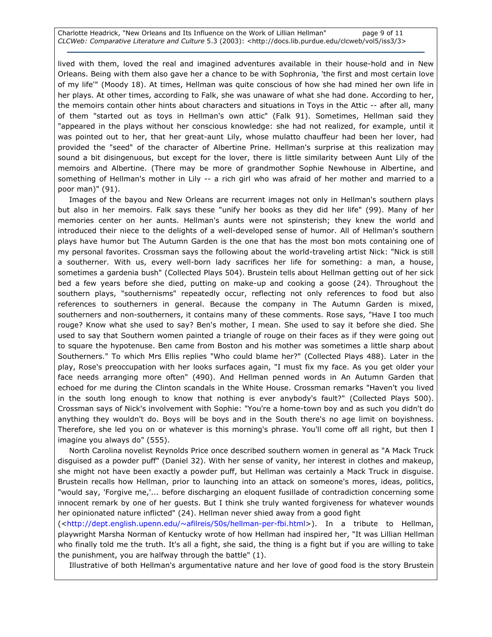lived with them, loved the real and imagined adventures available in their house-hold and in New Orleans. Being with them also gave her a chance to be with Sophronia, 'the first and most certain love of my life'" (Moody 18). At times, Hellman was quite conscious of how she had mined her own life in her plays. At other times, according to Falk, she was unaware of what she had done. According to her, the memoirs contain other hints about characters and situations in Toys in the Attic -- after all, many of them "started out as toys in Hellman's own attic" (Falk 91). Sometimes, Hellman said they "appeared in the plays without her conscious knowledge: she had not realized, for example, until it was pointed out to her, that her great-aunt Lily, whose mulatto chauffeur had been her lover, had provided the "seed" of the character of Albertine Prine. Hellman's surprise at this realization may sound a bit disingenuous, but except for the lover, there is little similarity between Aunt Lily of the memoirs and Albertine. (There may be more of grandmother Sophie Newhouse in Albertine, and something of Hellman's mother in Lily -- a rich girl who was afraid of her mother and married to a poor man)" (91).

Images of the bayou and New Orleans are recurrent images not only in Hellman's southern plays but also in her memoirs. Falk says these "unify her books as they did her life" (99). Many of her memories center on her aunts. Hellman's aunts were not spinsterish; they knew the world and introduced their niece to the delights of a well-developed sense of humor. All of Hellman's southern plays have humor but The Autumn Garden is the one that has the most bon mots containing one of my personal favorites. Crossman says the following about the world-traveling artist Nick: "Nick is still a southerner. With us, every well-born lady sacrifices her life for something: a man, a house, sometimes a gardenia bush" (Collected Plays 504). Brustein tells about Hellman getting out of her sick bed a few years before she died, putting on make-up and cooking a goose (24). Throughout the southern plays, "southernisms" repeatedly occur, reflecting not only references to food but also references to southerners in general. Because the company in The Autumn Garden is mixed, southerners and non-southerners, it contains many of these comments. Rose says, "Have I too much rouge? Know what she used to say? Ben's mother, I mean. She used to say it before she died. She used to say that Southern women painted a triangle of rouge on their faces as if they were going out to square the hypotenuse. Ben came from Boston and his mother was sometimes a little sharp about Southerners." To which Mrs Ellis replies "Who could blame her?" (Collected Plays 488). Later in the play, Rose's preoccupation with her looks surfaces again, "I must fix my face. As you get older your face needs arranging more often" (490). And Hellman penned words in An Autumn Garden that echoed for me during the Clinton scandals in the White House. Crossman remarks "Haven't you lived in the south long enough to know that nothing is ever anybody's fault?" (Collected Plays 500). Crossman says of Nick's involvement with Sophie: "You're a home-town boy and as such you didn't do anything they wouldn't do. Boys will be boys and in the South there's no age limit on boyishness. Therefore, she led you on or whatever is this morning's phrase. You'll come off all right, but then I imagine you always do" (555).

North Carolina novelist Reynolds Price once described southern women in general as "A Mack Truck disguised as a powder puff" (Daniel 32). With her sense of vanity, her interest in clothes and makeup, she might not have been exactly a powder puff, but Hellman was certainly a Mack Truck in disguise. Brustein recalls how Hellman, prior to launching into an attack on someone's mores, ideas, politics, "would say, 'Forgive me,'... before discharging an eloquent fusillade of contradiction concerning some innocent remark by one of her guests. But I think she truly wanted forgiveness for whatever wounds her opinionated nature inflicted" (24). Hellman never shied away from a good fight

(<http://dept.english.upenn.edu/~afilreis/50s/hellman-per-fbi.html>). In a tribute to Hellman, playwright Marsha Norman of Kentucky wrote of how Hellman had inspired her, "It was Lillian Hellman who finally told me the truth. It's all a fight, she said, the thing is a fight but if you are willing to take the punishment, you are halfway through the battle" (1).

Illustrative of both Hellman's argumentative nature and her love of good food is the story Brustein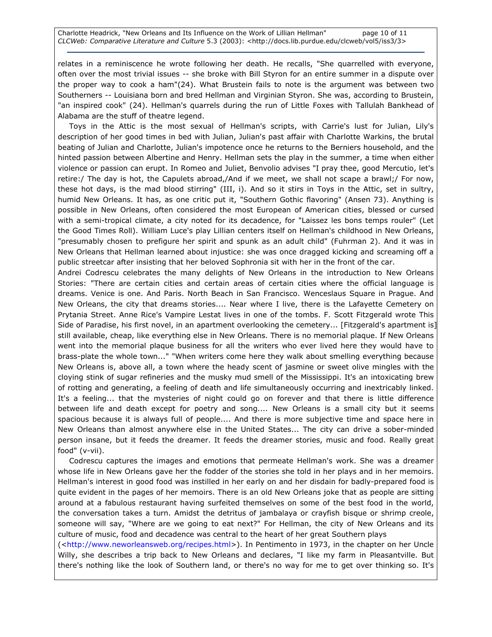relates in a reminiscence he wrote following her death. He recalls, "She quarrelled with everyone, often over the most trivial issues -- she broke with Bill Styron for an entire summer in a dispute over the proper way to cook a ham"(24). What Brustein fails to note is the argument was between two Southerners -- Louisiana born and bred Hellman and Virginian Styron. She was, according to Brustein, "an inspired cook" (24). Hellman's quarrels during the run of Little Foxes with Tallulah Bankhead of Alabama are the stuff of theatre legend.

Toys in the Attic is the most sexual of Hellman's scripts, with Carrie's lust for Julian, Lily's description of her good times in bed with Julian, Julian's past affair with Charlotte Warkins, the brutal beating of Julian and Charlotte, Julian's impotence once he returns to the Berniers household, and the hinted passion between Albertine and Henry. Hellman sets the play in the summer, a time when either violence or passion can erupt. In Romeo and Juliet, Benvolio advises "I pray thee, good Mercutio, let's retire:/ The day is hot, the Capulets abroad,/And if we meet, we shall not scape a brawl;/ For now, these hot days, is the mad blood stirring" (III, i). And so it stirs in Toys in the Attic, set in sultry, humid New Orleans. It has, as one critic put it, "Southern Gothic flavoring" (Ansen 73). Anything is possible in New Orleans, often considered the most European of American cities, blessed or cursed with a semi-tropical climate, a city noted for its decadence, for "Laissez les bons temps rouler" (Let the Good Times Roll). William Luce's play Lillian centers itself on Hellman's childhood in New Orleans, "presumably chosen to prefigure her spirit and spunk as an adult child" (Fuhrman 2). And it was in New Orleans that Hellman learned about injustice: she was once dragged kicking and screaming off a public streetcar after insisting that her beloved Sophronia sit with her in the front of the car.

Andrei Codrescu celebrates the many delights of New Orleans in the introduction to New Orleans Stories: "There are certain cities and certain areas of certain cities where the official language is dreams. Venice is one. And Paris. North Beach in San Francisco. Wenceslaus Square in Prague. And New Orleans, the city that dreams stories.... Near where I live, there is the Lafayette Cemetery on Prytania Street. Anne Rice's Vampire Lestat lives in one of the tombs. F. Scott Fitzgerald wrote This Side of Paradise, his first novel, in an apartment overlooking the cemetery... [Fitzgerald's apartment is] still available, cheap, like everything else in New Orleans. There is no memorial plaque. If New Orleans went into the memorial plaque business for all the writers who ever lived here they would have to brass-plate the whole town..." "When writers come here they walk about smelling everything because New Orleans is, above all, a town where the heady scent of jasmine or sweet olive mingles with the cloying stink of sugar refineries and the musky mud smell of the Mississippi. It's an intoxicating brew of rotting and generating, a feeling of death and life simultaneously occurring and inextricably linked. It's a feeling... that the mysteries of night could go on forever and that there is little difference between life and death except for poetry and song.... New Orleans is a small city but it seems spacious because it is always full of people.... And there is more subjective time and space here in New Orleans than almost anywhere else in the United States... The city can drive a sober-minded person insane, but it feeds the dreamer. It feeds the dreamer stories, music and food. Really great food" (v-vii).

Codrescu captures the images and emotions that permeate Hellman's work. She was a dreamer whose life in New Orleans gave her the fodder of the stories she told in her plays and in her memoirs. Hellman's interest in good food was instilled in her early on and her disdain for badly-prepared food is quite evident in the pages of her memoirs. There is an old New Orleans joke that as people are sitting around at a fabulous restaurant having surfeited themselves on some of the best food in the world, the conversation takes a turn. Amidst the detritus of jambalaya or crayfish bisque or shrimp creole, someone will say, "Where are we going to eat next?" For Hellman, the city of New Orleans and its culture of music, food and decadence was central to the heart of her great Southern plays

(<http://www.neworleansweb.org/recipes.html>). In Pentimento in 1973, in the chapter on her Uncle Willy, she describes a trip back to New Orleans and declares, "I like my farm in Pleasantville. But there's nothing like the look of Southern land, or there's no way for me to get over thinking so. It's